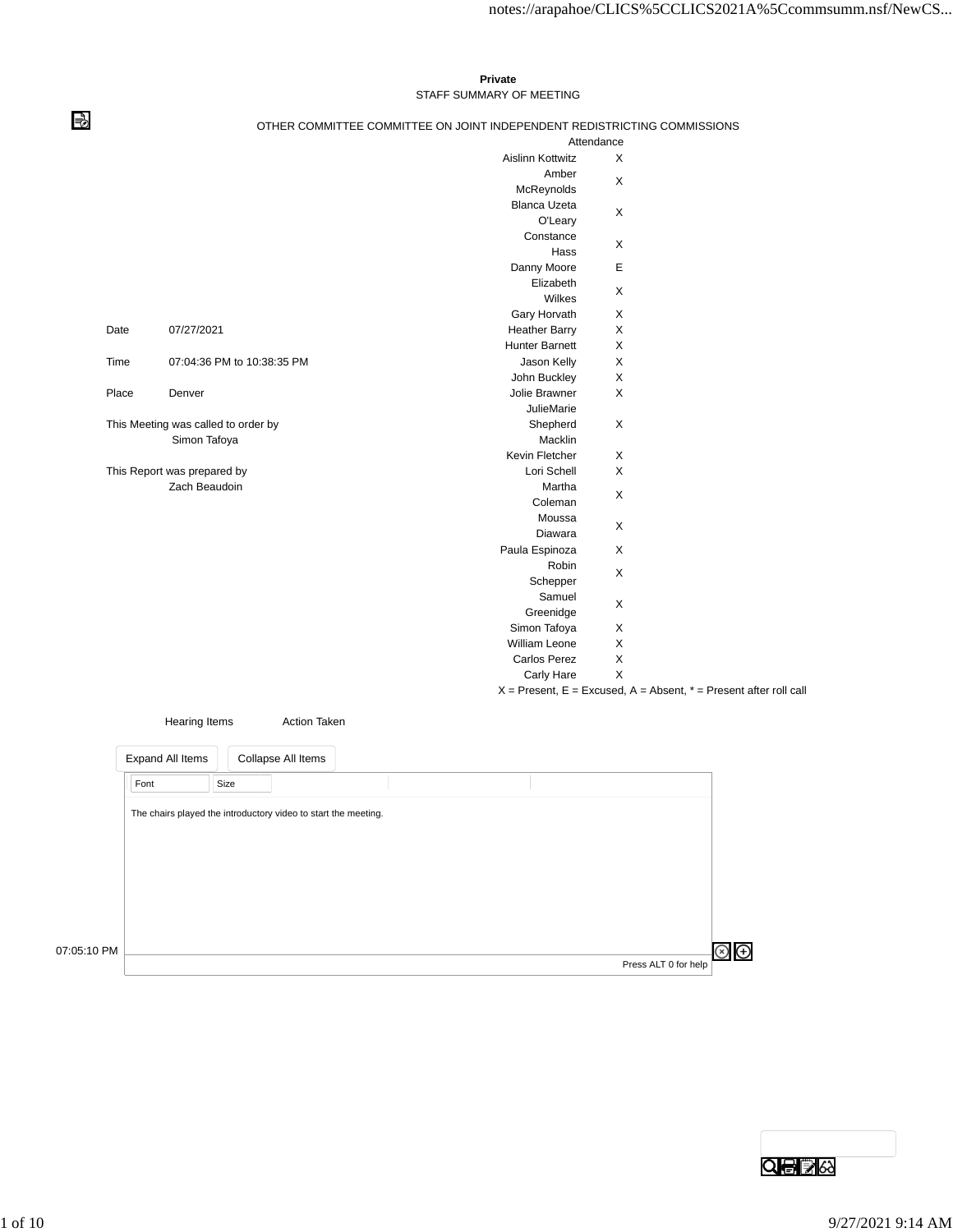## **Private** STAFF SUMMARY OF MEETING

⇛

## OTHER COMMITTEE COMMITTEE ON JOINT INDEPENDENT REDISTRICTING COMMISSIONS

|       |                                             |                         | Attendance                                                                |
|-------|---------------------------------------------|-------------------------|---------------------------------------------------------------------------|
|       |                                             | <b>Aislinn Kottwitz</b> | X                                                                         |
|       |                                             | Amber                   | X                                                                         |
|       |                                             | McReynolds              |                                                                           |
|       |                                             | <b>Blanca Uzeta</b>     |                                                                           |
|       |                                             | O'Leary                 | X                                                                         |
|       |                                             | Constance               | X                                                                         |
|       |                                             | Hass                    |                                                                           |
|       |                                             | Danny Moore             | Ε                                                                         |
|       |                                             | Elizabeth               |                                                                           |
|       |                                             | Wilkes                  | X                                                                         |
|       |                                             | Gary Horvath            | X                                                                         |
| Date  | 07/27/2021                                  | <b>Heather Barry</b>    | X                                                                         |
|       |                                             | <b>Hunter Barnett</b>   | X                                                                         |
| Time  | 07:04:36 PM to 10:38:35 PM                  | Jason Kelly             | X                                                                         |
|       |                                             | John Buckley            | X                                                                         |
| Place | Denver                                      | Jolie Brawner           | X                                                                         |
|       |                                             | <b>JulieMarie</b>       |                                                                           |
|       | This Meeting was called to order by         | Shepherd                | X                                                                         |
|       | Simon Tafoya                                | Macklin                 |                                                                           |
|       |                                             | Kevin Fletcher          | X                                                                         |
|       | This Report was prepared by                 | Lori Schell             | X                                                                         |
|       | Zach Beaudoin                               | Martha                  | X                                                                         |
|       |                                             | Coleman                 |                                                                           |
|       |                                             | Moussa                  | $\pmb{\times}$                                                            |
|       |                                             | Diawara                 |                                                                           |
|       |                                             | Paula Espinoza          | X                                                                         |
|       |                                             | Robin                   | X                                                                         |
|       |                                             | Schepper                |                                                                           |
|       |                                             | Samuel                  | X                                                                         |
|       |                                             | Greenidge               |                                                                           |
|       |                                             | Simon Tafoya            | X                                                                         |
|       |                                             | William Leone           | X                                                                         |
|       |                                             | <b>Carlos Perez</b>     | X                                                                         |
|       |                                             | Carly Hare              | X                                                                         |
|       |                                             |                         | $X =$ Present, $E =$ Excused, $A =$ Absent, $* =$ Present after roll call |
|       | <b>Action Taken</b><br><b>Hearing Items</b> |                         |                                                                           |
|       |                                             |                         |                                                                           |

|             | Expand All Items |      | Collapse All Items                                             |  |  |  |
|-------------|------------------|------|----------------------------------------------------------------|--|--|--|
|             | Font             | Size |                                                                |  |  |  |
|             |                  |      | The chairs played the introductory video to start the meeting. |  |  |  |
|             |                  |      |                                                                |  |  |  |
|             |                  |      |                                                                |  |  |  |
|             |                  |      |                                                                |  |  |  |
|             |                  |      |                                                                |  |  |  |
|             |                  |      |                                                                |  |  |  |
| 07:05:10 PM |                  |      |                                                                |  |  |  |

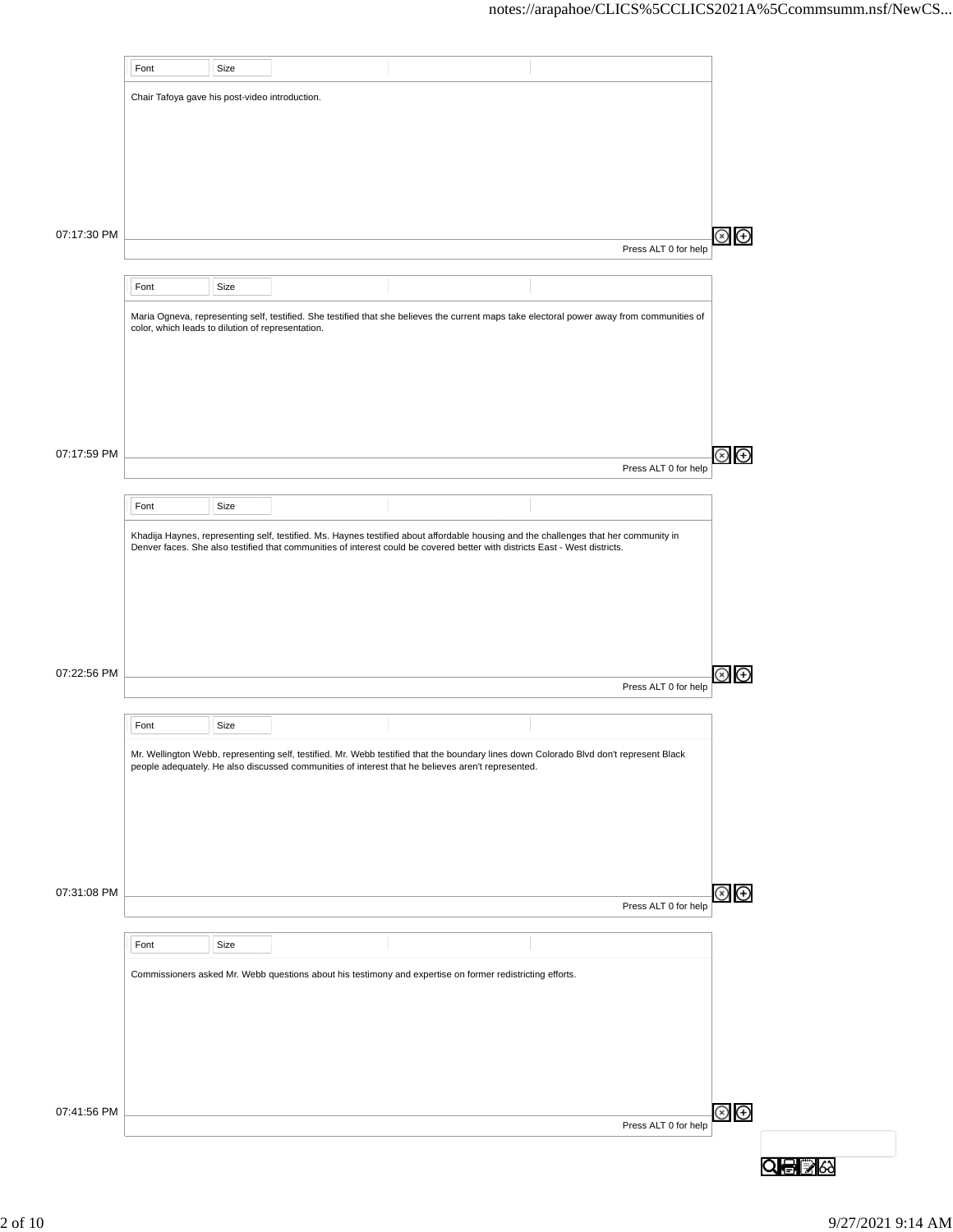|             | Font                                              | Size |                                                                                                                                        |  |                                                                                                                                            |               |
|-------------|---------------------------------------------------|------|----------------------------------------------------------------------------------------------------------------------------------------|--|--------------------------------------------------------------------------------------------------------------------------------------------|---------------|
|             | Chair Tafoya gave his post-video introduction.    |      |                                                                                                                                        |  |                                                                                                                                            |               |
|             |                                                   |      |                                                                                                                                        |  |                                                                                                                                            |               |
|             |                                                   |      |                                                                                                                                        |  |                                                                                                                                            |               |
|             |                                                   |      |                                                                                                                                        |  |                                                                                                                                            |               |
|             |                                                   |      |                                                                                                                                        |  |                                                                                                                                            |               |
|             |                                                   |      |                                                                                                                                        |  |                                                                                                                                            |               |
| 07:17:30 PM |                                                   |      |                                                                                                                                        |  |                                                                                                                                            |               |
|             |                                                   |      |                                                                                                                                        |  | Press ALT 0 for help                                                                                                                       |               |
|             |                                                   |      |                                                                                                                                        |  |                                                                                                                                            |               |
|             | Font                                              | Size |                                                                                                                                        |  |                                                                                                                                            |               |
|             |                                                   |      |                                                                                                                                        |  | Maria Ogneva, representing self, testified. She testified that she believes the current maps take electoral power away from communities of |               |
|             | color, which leads to dilution of representation. |      |                                                                                                                                        |  |                                                                                                                                            |               |
|             |                                                   |      |                                                                                                                                        |  |                                                                                                                                            |               |
|             |                                                   |      |                                                                                                                                        |  |                                                                                                                                            |               |
|             |                                                   |      |                                                                                                                                        |  |                                                                                                                                            |               |
|             |                                                   |      |                                                                                                                                        |  |                                                                                                                                            |               |
| 07:17:59 PM |                                                   |      |                                                                                                                                        |  |                                                                                                                                            |               |
|             |                                                   |      |                                                                                                                                        |  | Press ALT 0 for help                                                                                                                       |               |
|             |                                                   |      |                                                                                                                                        |  |                                                                                                                                            |               |
|             | Font                                              | Size |                                                                                                                                        |  |                                                                                                                                            |               |
|             |                                                   |      | Khadija Haynes, representing self, testified. Ms. Haynes testified about affordable housing and the challenges that her community in   |  |                                                                                                                                            |               |
|             |                                                   |      | Denver faces. She also testified that communities of interest could be covered better with districts East - West districts.            |  |                                                                                                                                            |               |
|             |                                                   |      |                                                                                                                                        |  |                                                                                                                                            |               |
|             |                                                   |      |                                                                                                                                        |  |                                                                                                                                            |               |
|             |                                                   |      |                                                                                                                                        |  |                                                                                                                                            |               |
|             |                                                   |      |                                                                                                                                        |  |                                                                                                                                            |               |
| 07:22:56 PM |                                                   |      |                                                                                                                                        |  |                                                                                                                                            |               |
|             |                                                   |      |                                                                                                                                        |  | Press ALT 0 for help                                                                                                                       |               |
|             |                                                   |      |                                                                                                                                        |  |                                                                                                                                            |               |
|             | Font                                              | Size |                                                                                                                                        |  |                                                                                                                                            |               |
|             |                                                   |      | Mr. Wellington Webb, representing self, testified. Mr. Webb testified that the boundary lines down Colorado Blvd don't represent Black |  |                                                                                                                                            |               |
|             |                                                   |      | people adequately. He also discussed communities of interest that he believes aren't represented.                                      |  |                                                                                                                                            |               |
|             |                                                   |      |                                                                                                                                        |  |                                                                                                                                            |               |
|             |                                                   |      |                                                                                                                                        |  |                                                                                                                                            |               |
|             |                                                   |      |                                                                                                                                        |  |                                                                                                                                            |               |
|             |                                                   |      |                                                                                                                                        |  |                                                                                                                                            |               |
| 07:31:08 PM |                                                   |      |                                                                                                                                        |  |                                                                                                                                            |               |
|             |                                                   |      |                                                                                                                                        |  | Press ALT 0 for help                                                                                                                       | $\circledast$ |
|             |                                                   |      |                                                                                                                                        |  |                                                                                                                                            |               |
|             | Font                                              | Size |                                                                                                                                        |  |                                                                                                                                            |               |
|             |                                                   |      | Commissioners asked Mr. Webb questions about his testimony and expertise on former redistricting efforts.                              |  |                                                                                                                                            |               |
|             |                                                   |      |                                                                                                                                        |  |                                                                                                                                            |               |
|             |                                                   |      |                                                                                                                                        |  |                                                                                                                                            |               |
|             |                                                   |      |                                                                                                                                        |  |                                                                                                                                            |               |
|             |                                                   |      |                                                                                                                                        |  |                                                                                                                                            |               |
|             |                                                   |      |                                                                                                                                        |  |                                                                                                                                            |               |
| 07:41:56 PM |                                                   |      |                                                                                                                                        |  |                                                                                                                                            |               |
|             |                                                   |      |                                                                                                                                        |  | Press ALT 0 for help                                                                                                                       | $\circledast$ |
|             |                                                   |      |                                                                                                                                        |  |                                                                                                                                            |               |
|             |                                                   |      |                                                                                                                                        |  |                                                                                                                                            |               |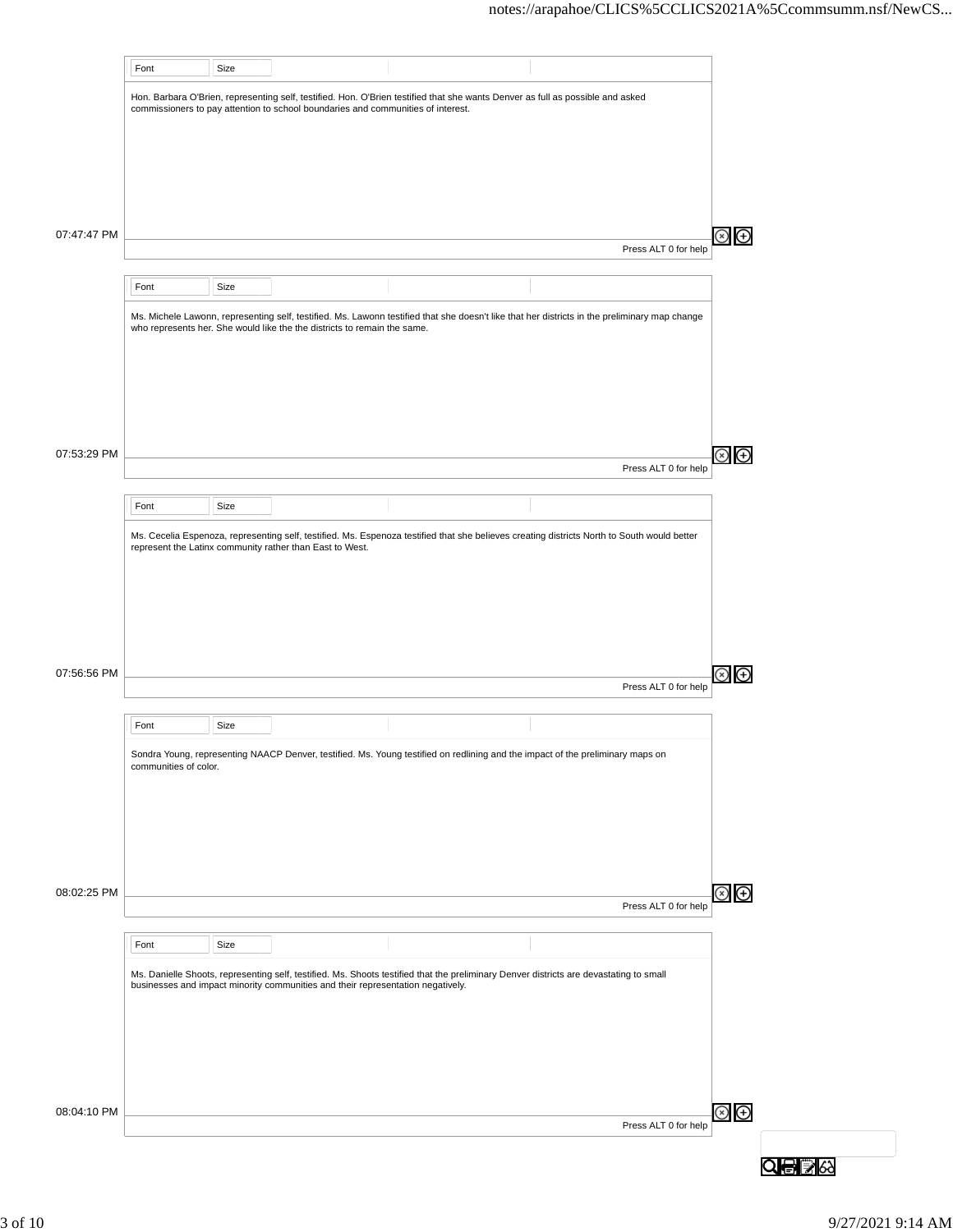| Font<br>Size<br>Hon. Barbara O'Brien, representing self, testified. Hon. O'Brien testified that she wants Denver as full as possible and asked<br>commissioners to pay attention to school boundaries and communities of interest.<br>$\circledast$<br>Press ALT 0 for help<br>Size<br>Ms. Michele Lawonn, representing self, testified. Ms. Lawonn testified that she doesn't like that her districts in the preliminary map change<br>who represents her. She would like the the districts to remain the same.<br>$\circledast$<br>Press ALT 0 for help<br>Font<br>Size<br>Ms. Cecelia Espenoza, representing self, testified. Ms. Espenoza testified that she believes creating districts North to South would better<br>$\circledcirc$ $\circledcirc$<br>Press ALT 0 for help<br>Size<br>Sondra Young, representing NAACP Denver, testified. Ms. Young testified on redlining and the impact of the preliminary maps on<br>$\circledcirc$<br>Press ALT 0 for help<br>Font<br>Size |  |                      |
|---------------------------------------------------------------------------------------------------------------------------------------------------------------------------------------------------------------------------------------------------------------------------------------------------------------------------------------------------------------------------------------------------------------------------------------------------------------------------------------------------------------------------------------------------------------------------------------------------------------------------------------------------------------------------------------------------------------------------------------------------------------------------------------------------------------------------------------------------------------------------------------------------------------------------------------------------------------------------------------|--|----------------------|
|                                                                                                                                                                                                                                                                                                                                                                                                                                                                                                                                                                                                                                                                                                                                                                                                                                                                                                                                                                                       |  |                      |
|                                                                                                                                                                                                                                                                                                                                                                                                                                                                                                                                                                                                                                                                                                                                                                                                                                                                                                                                                                                       |  |                      |
| 07:47:47 PM                                                                                                                                                                                                                                                                                                                                                                                                                                                                                                                                                                                                                                                                                                                                                                                                                                                                                                                                                                           |  |                      |
|                                                                                                                                                                                                                                                                                                                                                                                                                                                                                                                                                                                                                                                                                                                                                                                                                                                                                                                                                                                       |  |                      |
| Font                                                                                                                                                                                                                                                                                                                                                                                                                                                                                                                                                                                                                                                                                                                                                                                                                                                                                                                                                                                  |  |                      |
|                                                                                                                                                                                                                                                                                                                                                                                                                                                                                                                                                                                                                                                                                                                                                                                                                                                                                                                                                                                       |  |                      |
|                                                                                                                                                                                                                                                                                                                                                                                                                                                                                                                                                                                                                                                                                                                                                                                                                                                                                                                                                                                       |  |                      |
|                                                                                                                                                                                                                                                                                                                                                                                                                                                                                                                                                                                                                                                                                                                                                                                                                                                                                                                                                                                       |  |                      |
|                                                                                                                                                                                                                                                                                                                                                                                                                                                                                                                                                                                                                                                                                                                                                                                                                                                                                                                                                                                       |  |                      |
|                                                                                                                                                                                                                                                                                                                                                                                                                                                                                                                                                                                                                                                                                                                                                                                                                                                                                                                                                                                       |  |                      |
| 07:53:29 PM                                                                                                                                                                                                                                                                                                                                                                                                                                                                                                                                                                                                                                                                                                                                                                                                                                                                                                                                                                           |  |                      |
|                                                                                                                                                                                                                                                                                                                                                                                                                                                                                                                                                                                                                                                                                                                                                                                                                                                                                                                                                                                       |  |                      |
|                                                                                                                                                                                                                                                                                                                                                                                                                                                                                                                                                                                                                                                                                                                                                                                                                                                                                                                                                                                       |  |                      |
| represent the Latinx community rather than East to West.                                                                                                                                                                                                                                                                                                                                                                                                                                                                                                                                                                                                                                                                                                                                                                                                                                                                                                                              |  |                      |
|                                                                                                                                                                                                                                                                                                                                                                                                                                                                                                                                                                                                                                                                                                                                                                                                                                                                                                                                                                                       |  |                      |
|                                                                                                                                                                                                                                                                                                                                                                                                                                                                                                                                                                                                                                                                                                                                                                                                                                                                                                                                                                                       |  |                      |
|                                                                                                                                                                                                                                                                                                                                                                                                                                                                                                                                                                                                                                                                                                                                                                                                                                                                                                                                                                                       |  |                      |
| 07:56:56 PM                                                                                                                                                                                                                                                                                                                                                                                                                                                                                                                                                                                                                                                                                                                                                                                                                                                                                                                                                                           |  |                      |
|                                                                                                                                                                                                                                                                                                                                                                                                                                                                                                                                                                                                                                                                                                                                                                                                                                                                                                                                                                                       |  |                      |
| Font                                                                                                                                                                                                                                                                                                                                                                                                                                                                                                                                                                                                                                                                                                                                                                                                                                                                                                                                                                                  |  |                      |
|                                                                                                                                                                                                                                                                                                                                                                                                                                                                                                                                                                                                                                                                                                                                                                                                                                                                                                                                                                                       |  |                      |
| communities of color.                                                                                                                                                                                                                                                                                                                                                                                                                                                                                                                                                                                                                                                                                                                                                                                                                                                                                                                                                                 |  |                      |
|                                                                                                                                                                                                                                                                                                                                                                                                                                                                                                                                                                                                                                                                                                                                                                                                                                                                                                                                                                                       |  |                      |
|                                                                                                                                                                                                                                                                                                                                                                                                                                                                                                                                                                                                                                                                                                                                                                                                                                                                                                                                                                                       |  |                      |
|                                                                                                                                                                                                                                                                                                                                                                                                                                                                                                                                                                                                                                                                                                                                                                                                                                                                                                                                                                                       |  |                      |
| 08:02:25 PM                                                                                                                                                                                                                                                                                                                                                                                                                                                                                                                                                                                                                                                                                                                                                                                                                                                                                                                                                                           |  |                      |
|                                                                                                                                                                                                                                                                                                                                                                                                                                                                                                                                                                                                                                                                                                                                                                                                                                                                                                                                                                                       |  |                      |
|                                                                                                                                                                                                                                                                                                                                                                                                                                                                                                                                                                                                                                                                                                                                                                                                                                                                                                                                                                                       |  |                      |
|                                                                                                                                                                                                                                                                                                                                                                                                                                                                                                                                                                                                                                                                                                                                                                                                                                                                                                                                                                                       |  |                      |
| Ms. Danielle Shoots, representing self, testified. Ms. Shoots testified that the preliminary Denver districts are devastating to small                                                                                                                                                                                                                                                                                                                                                                                                                                                                                                                                                                                                                                                                                                                                                                                                                                                |  |                      |
| businesses and impact minority communities and their representation negatively.                                                                                                                                                                                                                                                                                                                                                                                                                                                                                                                                                                                                                                                                                                                                                                                                                                                                                                       |  |                      |
|                                                                                                                                                                                                                                                                                                                                                                                                                                                                                                                                                                                                                                                                                                                                                                                                                                                                                                                                                                                       |  |                      |
|                                                                                                                                                                                                                                                                                                                                                                                                                                                                                                                                                                                                                                                                                                                                                                                                                                                                                                                                                                                       |  |                      |
|                                                                                                                                                                                                                                                                                                                                                                                                                                                                                                                                                                                                                                                                                                                                                                                                                                                                                                                                                                                       |  |                      |
| 08:04:10 PM                                                                                                                                                                                                                                                                                                                                                                                                                                                                                                                                                                                                                                                                                                                                                                                                                                                                                                                                                                           |  | Press ALT 0 for help |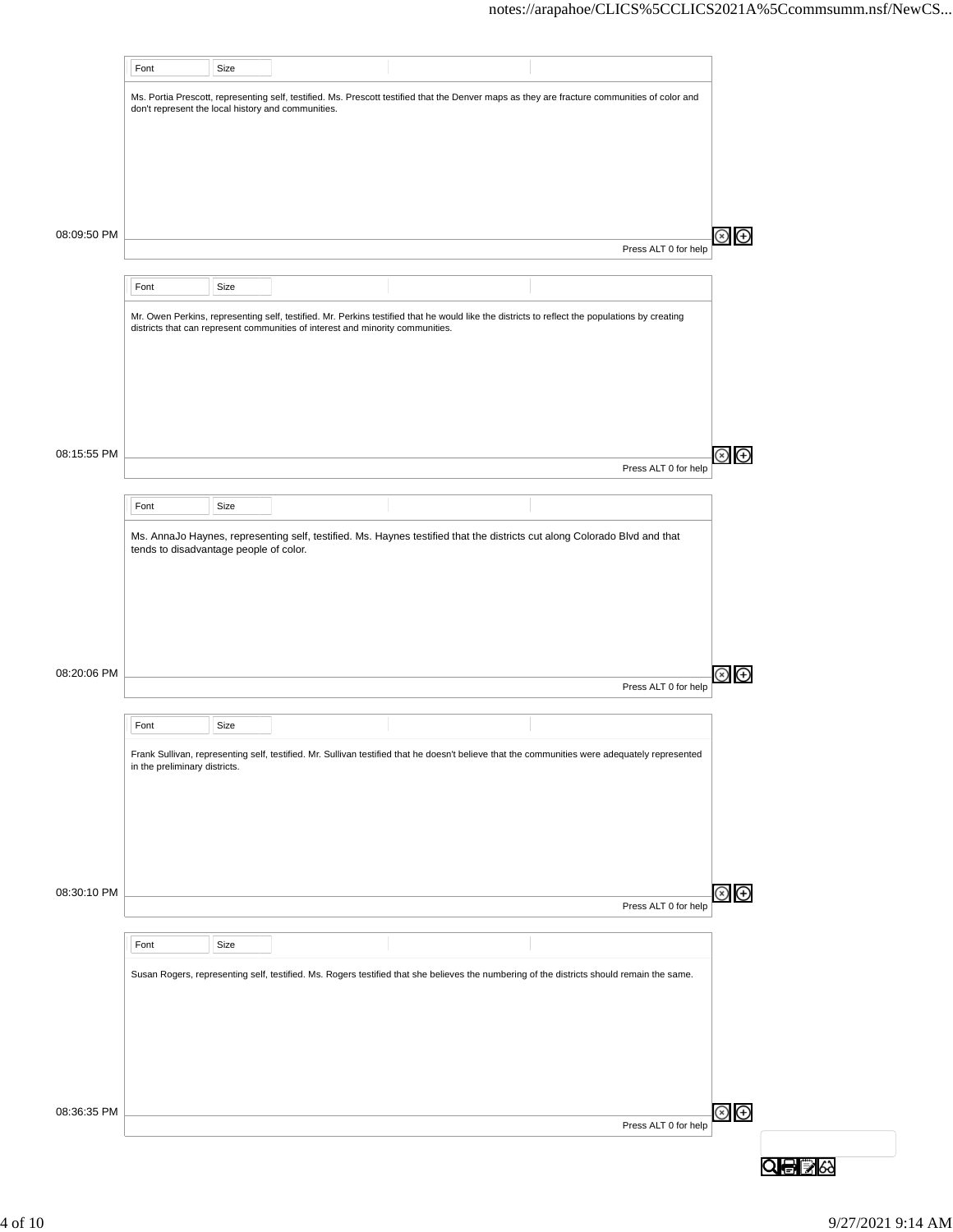|             | Font                                               | Size |                                                                                |                                                                                                                                               |                      |
|-------------|----------------------------------------------------|------|--------------------------------------------------------------------------------|-----------------------------------------------------------------------------------------------------------------------------------------------|----------------------|
|             | don't represent the local history and communities. |      |                                                                                | Ms. Portia Prescott, representing self, testified. Ms. Prescott testified that the Denver maps as they are fracture communities of color and  |                      |
|             |                                                    |      |                                                                                |                                                                                                                                               |                      |
|             |                                                    |      |                                                                                |                                                                                                                                               |                      |
|             |                                                    |      |                                                                                |                                                                                                                                               |                      |
| 08:09:50 PM |                                                    |      |                                                                                |                                                                                                                                               |                      |
|             |                                                    |      |                                                                                |                                                                                                                                               | Press ALT 0 for help |
|             | Font                                               | Size |                                                                                |                                                                                                                                               |                      |
|             |                                                    |      | districts that can represent communities of interest and minority communities. | Mr. Owen Perkins, representing self, testified. Mr. Perkins testified that he would like the districts to reflect the populations by creating |                      |
|             |                                                    |      |                                                                                |                                                                                                                                               |                      |
|             |                                                    |      |                                                                                |                                                                                                                                               |                      |
|             |                                                    |      |                                                                                |                                                                                                                                               |                      |
|             |                                                    |      |                                                                                |                                                                                                                                               |                      |
| 08:15:55 PM |                                                    |      |                                                                                |                                                                                                                                               | Press ALT 0 for help |
|             |                                                    |      |                                                                                |                                                                                                                                               |                      |
|             | Font                                               | Size |                                                                                |                                                                                                                                               |                      |
|             | tends to disadvantage people of color.             |      |                                                                                | Ms. AnnaJo Haynes, representing self, testified. Ms. Haynes testified that the districts cut along Colorado Blvd and that                     |                      |
|             |                                                    |      |                                                                                |                                                                                                                                               |                      |
|             |                                                    |      |                                                                                |                                                                                                                                               |                      |
|             |                                                    |      |                                                                                |                                                                                                                                               |                      |
| 08:20:06 PM |                                                    |      |                                                                                |                                                                                                                                               |                      |
|             |                                                    |      |                                                                                |                                                                                                                                               | Press ALT 0 for help |
|             | Font                                               | Size |                                                                                |                                                                                                                                               |                      |
|             |                                                    |      |                                                                                | Frank Sullivan, representing self, testified. Mr. Sullivan testified that he doesn't believe that the communities were adequately represented |                      |
|             | in the preliminary districts.                      |      |                                                                                |                                                                                                                                               |                      |
|             |                                                    |      |                                                                                |                                                                                                                                               |                      |
|             |                                                    |      |                                                                                |                                                                                                                                               |                      |
|             |                                                    |      |                                                                                |                                                                                                                                               |                      |
| 08:30:10 PM |                                                    |      |                                                                                |                                                                                                                                               |                      |
|             |                                                    |      |                                                                                |                                                                                                                                               | Press ALT 0 for help |
|             | Font                                               | Size |                                                                                |                                                                                                                                               |                      |
|             |                                                    |      |                                                                                | Susan Rogers, representing self, testified. Ms. Rogers testified that she believes the numbering of the districts should remain the same.     |                      |
|             |                                                    |      |                                                                                |                                                                                                                                               |                      |
|             |                                                    |      |                                                                                |                                                                                                                                               |                      |
|             |                                                    |      |                                                                                |                                                                                                                                               |                      |
|             |                                                    |      |                                                                                |                                                                                                                                               |                      |
| 08:36:35 PM |                                                    |      |                                                                                |                                                                                                                                               | Press ALT 0 for help |
|             |                                                    |      |                                                                                |                                                                                                                                               |                      |
|             |                                                    |      |                                                                                |                                                                                                                                               |                      |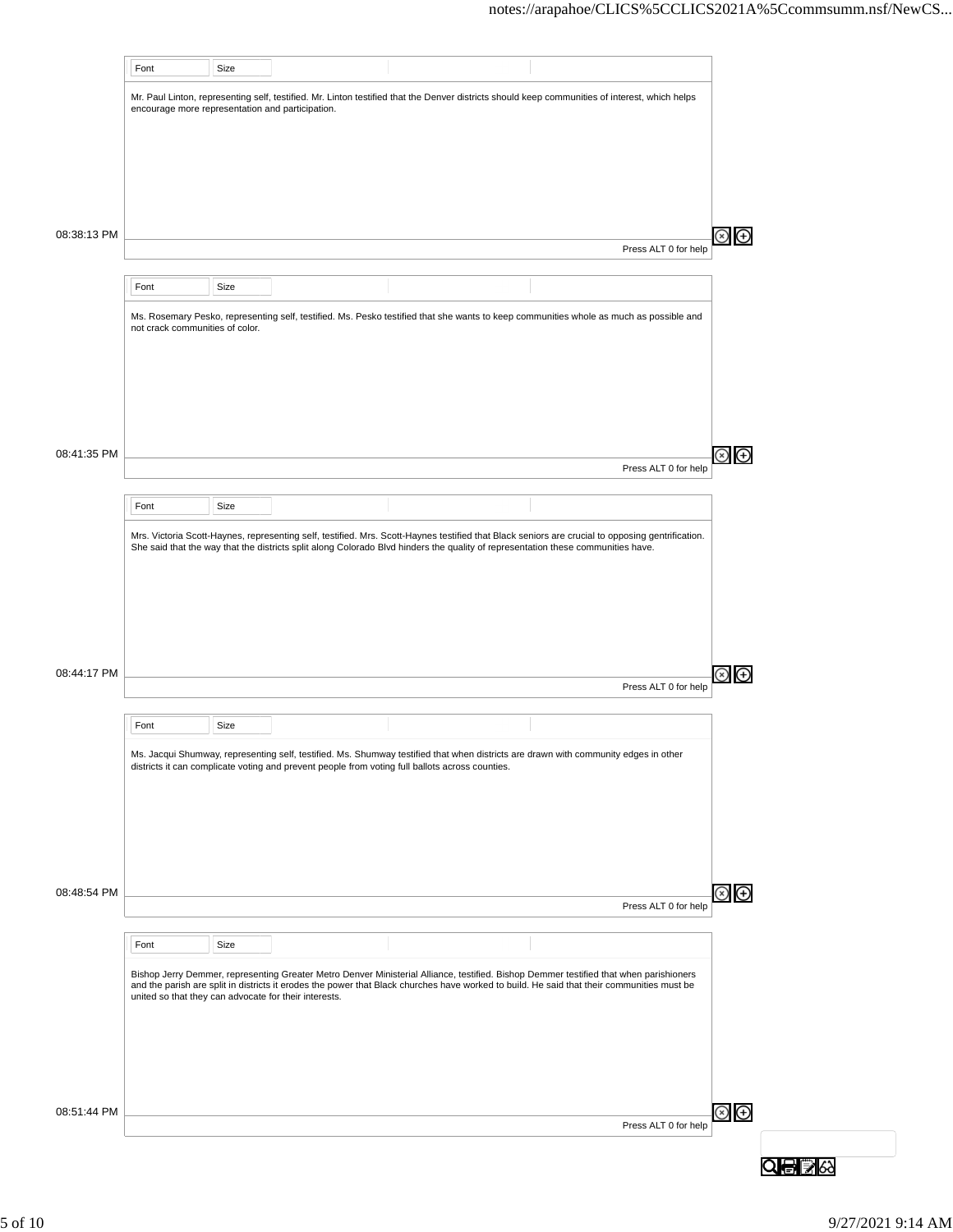|                            | Font                                                  | Size |                                                                                                                                                                                                                                                                                      |                      |                                 |
|----------------------------|-------------------------------------------------------|------|--------------------------------------------------------------------------------------------------------------------------------------------------------------------------------------------------------------------------------------------------------------------------------------|----------------------|---------------------------------|
|                            |                                                       |      | Mr. Paul Linton, representing self, testified. Mr. Linton testified that the Denver districts should keep communities of interest, which helps                                                                                                                                       |                      |                                 |
|                            | encourage more representation and participation.      |      |                                                                                                                                                                                                                                                                                      |                      |                                 |
|                            |                                                       |      |                                                                                                                                                                                                                                                                                      |                      |                                 |
|                            |                                                       |      |                                                                                                                                                                                                                                                                                      |                      |                                 |
|                            |                                                       |      |                                                                                                                                                                                                                                                                                      |                      |                                 |
|                            |                                                       |      |                                                                                                                                                                                                                                                                                      |                      |                                 |
| 08:38:13 PM                |                                                       |      |                                                                                                                                                                                                                                                                                      | Press ALT 0 for help | $\bigoplus$                     |
|                            |                                                       |      |                                                                                                                                                                                                                                                                                      |                      |                                 |
|                            | Font                                                  | Size |                                                                                                                                                                                                                                                                                      |                      |                                 |
|                            | not crack communities of color.                       |      | Ms. Rosemary Pesko, representing self, testified. Ms. Pesko testified that she wants to keep communities whole as much as possible and                                                                                                                                               |                      |                                 |
|                            |                                                       |      |                                                                                                                                                                                                                                                                                      |                      |                                 |
|                            |                                                       |      |                                                                                                                                                                                                                                                                                      |                      |                                 |
|                            |                                                       |      |                                                                                                                                                                                                                                                                                      |                      |                                 |
|                            |                                                       |      |                                                                                                                                                                                                                                                                                      |                      |                                 |
|                            |                                                       |      |                                                                                                                                                                                                                                                                                      |                      |                                 |
| 08:41:35 PM                |                                                       |      |                                                                                                                                                                                                                                                                                      | Press ALT 0 for help | Θ<br>$\left( \mathsf{x}\right)$ |
|                            |                                                       |      |                                                                                                                                                                                                                                                                                      |                      |                                 |
|                            | Font                                                  | Size |                                                                                                                                                                                                                                                                                      |                      |                                 |
|                            |                                                       |      | Mrs. Victoria Scott-Haynes, representing self, testified. Mrs. Scott-Haynes testified that Black seniors are crucial to opposing gentrification.                                                                                                                                     |                      |                                 |
|                            |                                                       |      | She said that the way that the districts split along Colorado Blvd hinders the quality of representation these communities have.                                                                                                                                                     |                      |                                 |
|                            |                                                       |      |                                                                                                                                                                                                                                                                                      |                      |                                 |
|                            |                                                       |      |                                                                                                                                                                                                                                                                                      |                      |                                 |
|                            |                                                       |      |                                                                                                                                                                                                                                                                                      |                      |                                 |
|                            |                                                       |      |                                                                                                                                                                                                                                                                                      |                      |                                 |
|                            |                                                       |      |                                                                                                                                                                                                                                                                                      |                      |                                 |
|                            |                                                       |      |                                                                                                                                                                                                                                                                                      |                      |                                 |
|                            |                                                       |      |                                                                                                                                                                                                                                                                                      | Press ALT 0 for help | Θ                               |
|                            |                                                       |      |                                                                                                                                                                                                                                                                                      |                      |                                 |
|                            | Font                                                  | Size |                                                                                                                                                                                                                                                                                      |                      |                                 |
|                            |                                                       |      | Ms. Jacqui Shumway, representing self, testified. Ms. Shumway testified that when districts are drawn with community edges in other                                                                                                                                                  |                      |                                 |
|                            |                                                       |      | districts it can complicate voting and prevent people from voting full ballots across counties.                                                                                                                                                                                      |                      |                                 |
|                            |                                                       |      |                                                                                                                                                                                                                                                                                      |                      |                                 |
|                            |                                                       |      |                                                                                                                                                                                                                                                                                      |                      |                                 |
|                            |                                                       |      |                                                                                                                                                                                                                                                                                      |                      |                                 |
|                            |                                                       |      |                                                                                                                                                                                                                                                                                      |                      |                                 |
|                            |                                                       |      |                                                                                                                                                                                                                                                                                      |                      | $\circledast$                   |
|                            |                                                       |      |                                                                                                                                                                                                                                                                                      | Press ALT 0 for help |                                 |
|                            | Font                                                  | Size |                                                                                                                                                                                                                                                                                      |                      |                                 |
|                            |                                                       |      |                                                                                                                                                                                                                                                                                      |                      |                                 |
|                            |                                                       |      | Bishop Jerry Demmer, representing Greater Metro Denver Ministerial Alliance, testified. Bishop Demmer testified that when parishioners<br>and the parish are split in districts it erodes the power that Black churches have worked to build. He said that their communities must be |                      |                                 |
|                            | united so that they can advocate for their interests. |      |                                                                                                                                                                                                                                                                                      |                      |                                 |
| 08:44:17 PM<br>08:48:54 PM |                                                       |      |                                                                                                                                                                                                                                                                                      |                      |                                 |
|                            |                                                       |      |                                                                                                                                                                                                                                                                                      |                      |                                 |
|                            |                                                       |      |                                                                                                                                                                                                                                                                                      |                      |                                 |
|                            |                                                       |      |                                                                                                                                                                                                                                                                                      |                      |                                 |
|                            |                                                       |      |                                                                                                                                                                                                                                                                                      |                      | $\circledast$                   |
| 08:51:44 PM                |                                                       |      |                                                                                                                                                                                                                                                                                      | Press ALT 0 for help |                                 |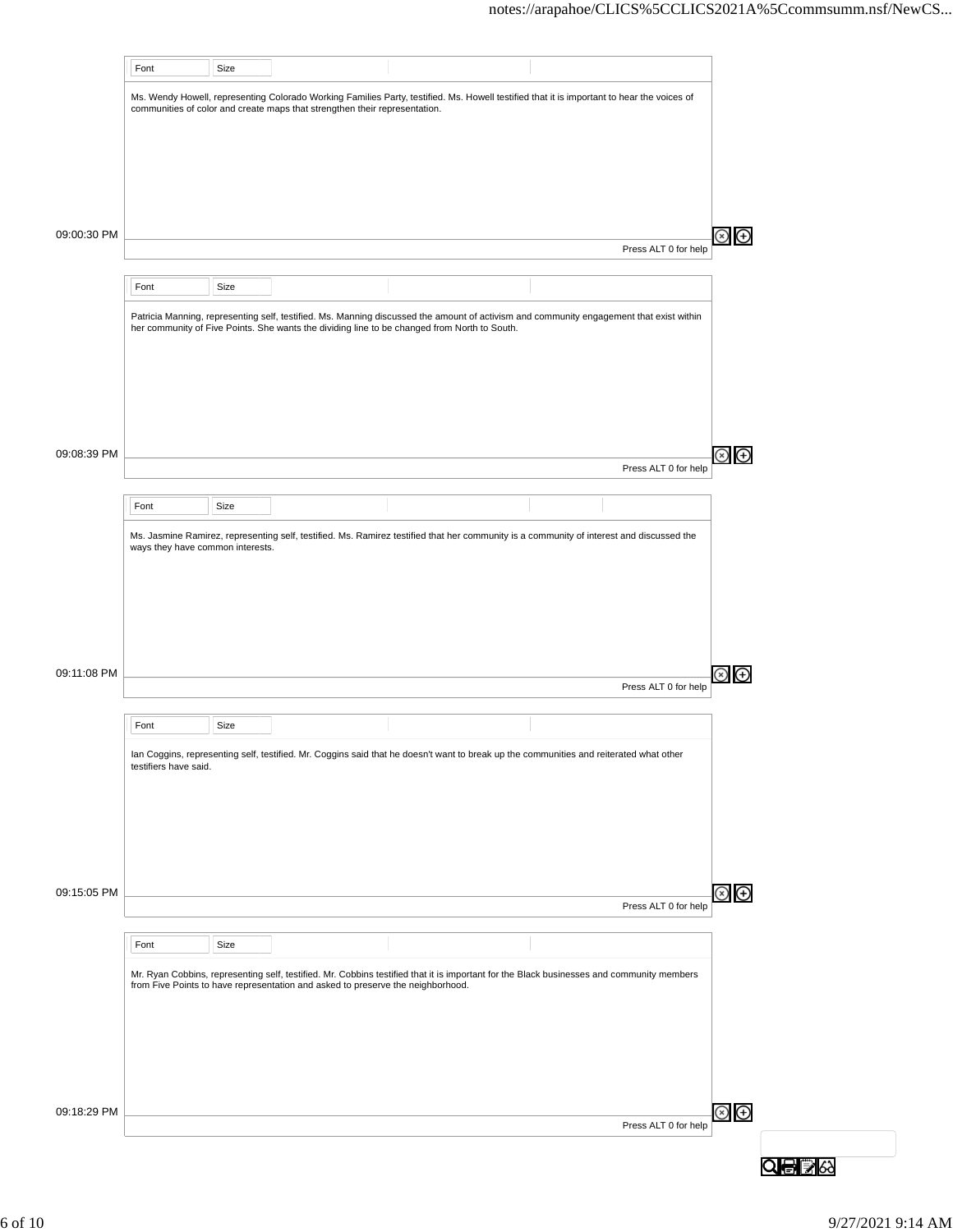|             | Font                             | Size |                                                                                 |                                                                                                                                                                                                                                         |                      |               |
|-------------|----------------------------------|------|---------------------------------------------------------------------------------|-----------------------------------------------------------------------------------------------------------------------------------------------------------------------------------------------------------------------------------------|----------------------|---------------|
|             |                                  |      | communities of color and create maps that strengthen their representation.      | Ms. Wendy Howell, representing Colorado Working Families Party, testified. Ms. Howell testified that it is important to hear the voices of                                                                                              |                      |               |
|             |                                  |      |                                                                                 |                                                                                                                                                                                                                                         |                      |               |
|             |                                  |      |                                                                                 |                                                                                                                                                                                                                                         |                      |               |
|             |                                  |      |                                                                                 |                                                                                                                                                                                                                                         |                      |               |
| 09:00:30 PM |                                  |      |                                                                                 |                                                                                                                                                                                                                                         | Press ALT 0 for help | Θ             |
|             | Font                             | Size |                                                                                 |                                                                                                                                                                                                                                         |                      |               |
|             |                                  |      |                                                                                 | Patricia Manning, representing self, testified. Ms. Manning discussed the amount of activism and community engagement that exist within<br>her community of Five Points. She wants the dividing line to be changed from North to South. |                      |               |
|             |                                  |      |                                                                                 |                                                                                                                                                                                                                                         |                      |               |
|             |                                  |      |                                                                                 |                                                                                                                                                                                                                                         |                      |               |
|             |                                  |      |                                                                                 |                                                                                                                                                                                                                                         |                      |               |
| 09:08:39 PM |                                  |      |                                                                                 |                                                                                                                                                                                                                                         | Press ALT 0 for help | ⊕             |
|             | Font                             | Size |                                                                                 |                                                                                                                                                                                                                                         |                      |               |
|             |                                  |      |                                                                                 | Ms. Jasmine Ramirez, representing self, testified. Ms. Ramirez testified that her community is a community of interest and discussed the                                                                                                |                      |               |
|             | ways they have common interests. |      |                                                                                 |                                                                                                                                                                                                                                         |                      |               |
|             |                                  |      |                                                                                 |                                                                                                                                                                                                                                         |                      |               |
|             |                                  |      |                                                                                 |                                                                                                                                                                                                                                         |                      |               |
| 09:11:08 PM |                                  |      |                                                                                 |                                                                                                                                                                                                                                         |                      | Θ             |
|             |                                  |      |                                                                                 |                                                                                                                                                                                                                                         | Press ALT 0 for help |               |
|             | Font                             | Size |                                                                                 |                                                                                                                                                                                                                                         |                      |               |
|             | testifiers have said.            |      |                                                                                 | Ian Coggins, representing self, testified. Mr. Coggins said that he doesn't want to break up the communities and reiterated what other                                                                                                  |                      |               |
|             |                                  |      |                                                                                 |                                                                                                                                                                                                                                         |                      |               |
|             |                                  |      |                                                                                 |                                                                                                                                                                                                                                         |                      |               |
|             |                                  |      |                                                                                 |                                                                                                                                                                                                                                         |                      |               |
| 09:15:05 PM |                                  |      |                                                                                 |                                                                                                                                                                                                                                         | Press ALT 0 for help | ව<br>ල        |
|             | Font                             | Size |                                                                                 |                                                                                                                                                                                                                                         |                      |               |
|             |                                  |      | from Five Points to have representation and asked to preserve the neighborhood. | Mr. Ryan Cobbins, representing self, testified. Mr. Cobbins testified that it is important for the Black businesses and community members                                                                                               |                      |               |
|             |                                  |      |                                                                                 |                                                                                                                                                                                                                                         |                      |               |
|             |                                  |      |                                                                                 |                                                                                                                                                                                                                                         |                      |               |
|             |                                  |      |                                                                                 |                                                                                                                                                                                                                                         |                      |               |
| 09:18:29 PM |                                  |      |                                                                                 |                                                                                                                                                                                                                                         | Press ALT 0 for help | $\circledast$ |
|             |                                  |      |                                                                                 |                                                                                                                                                                                                                                         |                      |               |
|             |                                  |      |                                                                                 |                                                                                                                                                                                                                                         |                      |               |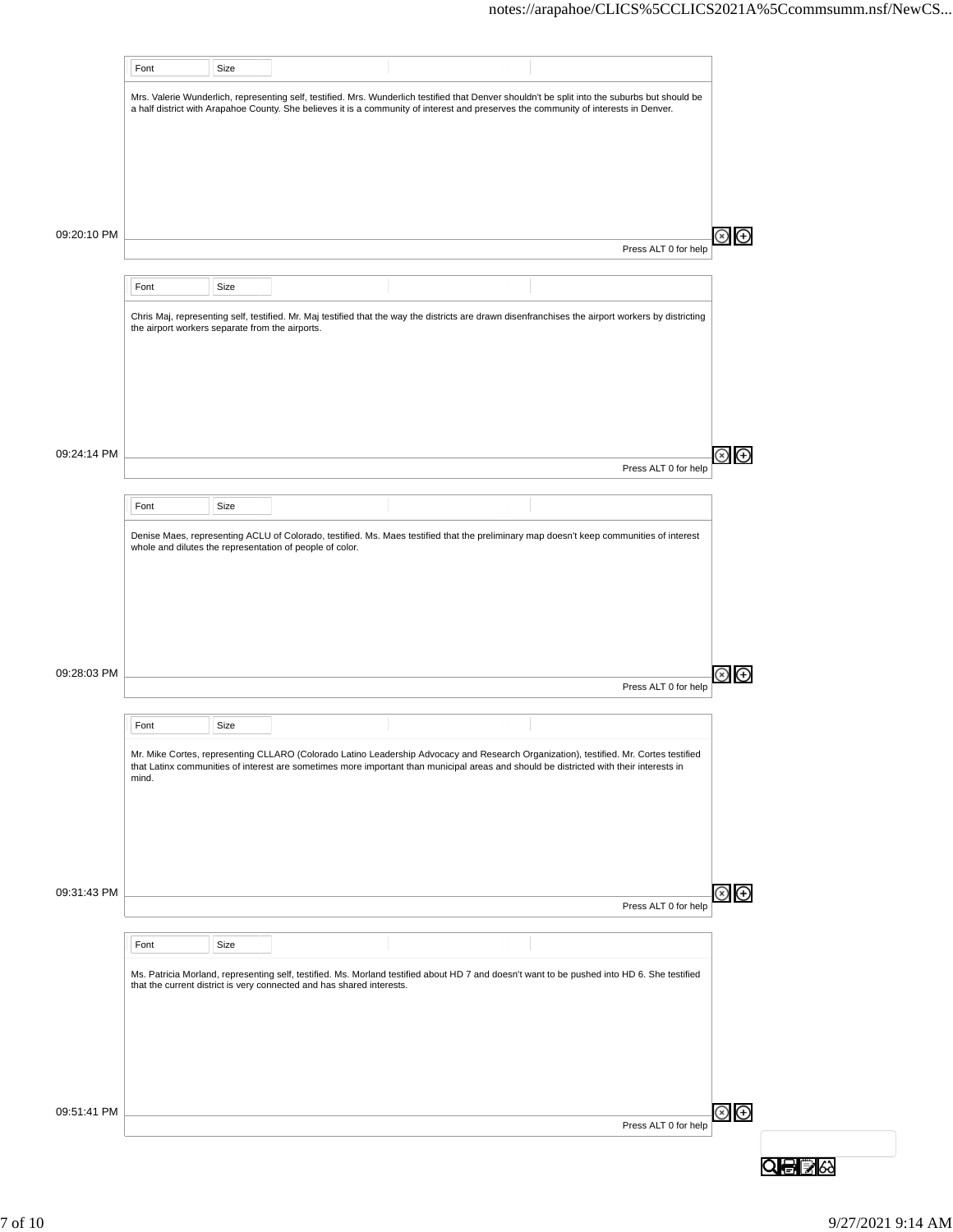|             | Font                                            | Size |                                                                       |                                                                                                                                                                                                                                                                                        |                      |                |
|-------------|-------------------------------------------------|------|-----------------------------------------------------------------------|----------------------------------------------------------------------------------------------------------------------------------------------------------------------------------------------------------------------------------------------------------------------------------------|----------------------|----------------|
|             |                                                 |      |                                                                       |                                                                                                                                                                                                                                                                                        |                      |                |
|             |                                                 |      |                                                                       | Mrs. Valerie Wunderlich, representing self, testified. Mrs. Wunderlich testified that Denver shouldn't be split into the suburbs but should be<br>a half district with Arapahoe County. She believes it is a community of interest and preserves the community of interests in Denver. |                      |                |
|             |                                                 |      |                                                                       |                                                                                                                                                                                                                                                                                        |                      |                |
|             |                                                 |      |                                                                       |                                                                                                                                                                                                                                                                                        |                      |                |
|             |                                                 |      |                                                                       |                                                                                                                                                                                                                                                                                        |                      |                |
|             |                                                 |      |                                                                       |                                                                                                                                                                                                                                                                                        |                      |                |
|             |                                                 |      |                                                                       |                                                                                                                                                                                                                                                                                        |                      |                |
| 09:20:10 PM |                                                 |      |                                                                       |                                                                                                                                                                                                                                                                                        |                      |                |
|             |                                                 |      |                                                                       |                                                                                                                                                                                                                                                                                        | Press ALT 0 for help | ⊕              |
|             |                                                 |      |                                                                       |                                                                                                                                                                                                                                                                                        |                      |                |
|             | Font                                            | Size |                                                                       |                                                                                                                                                                                                                                                                                        |                      |                |
|             |                                                 |      |                                                                       | Chris Maj, representing self, testified. Mr. Maj testified that the way the districts are drawn disenfranchises the airport workers by districting                                                                                                                                     |                      |                |
|             | the airport workers separate from the airports. |      |                                                                       |                                                                                                                                                                                                                                                                                        |                      |                |
|             |                                                 |      |                                                                       |                                                                                                                                                                                                                                                                                        |                      |                |
|             |                                                 |      |                                                                       |                                                                                                                                                                                                                                                                                        |                      |                |
|             |                                                 |      |                                                                       |                                                                                                                                                                                                                                                                                        |                      |                |
|             |                                                 |      |                                                                       |                                                                                                                                                                                                                                                                                        |                      |                |
|             |                                                 |      |                                                                       |                                                                                                                                                                                                                                                                                        |                      |                |
| 09:24:14 PM |                                                 |      |                                                                       |                                                                                                                                                                                                                                                                                        |                      |                |
|             |                                                 |      |                                                                       |                                                                                                                                                                                                                                                                                        | Press ALT 0 for help |                |
|             |                                                 |      |                                                                       |                                                                                                                                                                                                                                                                                        |                      |                |
|             | Font                                            | Size |                                                                       |                                                                                                                                                                                                                                                                                        |                      |                |
|             |                                                 |      |                                                                       | Denise Maes, representing ACLU of Colorado, testified. Ms. Maes testified that the preliminary map doesn't keep communities of interest                                                                                                                                                |                      |                |
|             |                                                 |      | whole and dilutes the representation of people of color.              |                                                                                                                                                                                                                                                                                        |                      |                |
|             |                                                 |      |                                                                       |                                                                                                                                                                                                                                                                                        |                      |                |
|             |                                                 |      |                                                                       |                                                                                                                                                                                                                                                                                        |                      |                |
|             |                                                 |      |                                                                       |                                                                                                                                                                                                                                                                                        |                      |                |
|             |                                                 |      |                                                                       |                                                                                                                                                                                                                                                                                        |                      |                |
|             |                                                 |      |                                                                       |                                                                                                                                                                                                                                                                                        |                      |                |
| 09:28:03 PM |                                                 |      |                                                                       |                                                                                                                                                                                                                                                                                        |                      | ⊗<br>⊕         |
|             |                                                 |      |                                                                       |                                                                                                                                                                                                                                                                                        | Press ALT 0 for help |                |
|             |                                                 |      |                                                                       |                                                                                                                                                                                                                                                                                        |                      |                |
|             | Font                                            | Size |                                                                       |                                                                                                                                                                                                                                                                                        |                      |                |
|             |                                                 |      |                                                                       | Mr. Mike Cortes, representing CLLARO (Colorado Latino Leadership Advocacy and Research Organization), testified. Mr. Cortes testified                                                                                                                                                  |                      |                |
|             | mind.                                           |      |                                                                       | that Latinx communities of interest are sometimes more important than municipal areas and should be districted with their interests in                                                                                                                                                 |                      |                |
|             |                                                 |      |                                                                       |                                                                                                                                                                                                                                                                                        |                      |                |
|             |                                                 |      |                                                                       |                                                                                                                                                                                                                                                                                        |                      |                |
|             |                                                 |      |                                                                       |                                                                                                                                                                                                                                                                                        |                      |                |
|             |                                                 |      |                                                                       |                                                                                                                                                                                                                                                                                        |                      |                |
|             |                                                 |      |                                                                       |                                                                                                                                                                                                                                                                                        |                      |                |
| 09:31:43 PM |                                                 |      |                                                                       |                                                                                                                                                                                                                                                                                        |                      | $\circledcirc$ |
|             |                                                 |      |                                                                       |                                                                                                                                                                                                                                                                                        | Press ALT 0 for help |                |
|             |                                                 |      |                                                                       |                                                                                                                                                                                                                                                                                        |                      |                |
|             | Font                                            | Size |                                                                       |                                                                                                                                                                                                                                                                                        |                      |                |
|             |                                                 |      |                                                                       | Ms. Patricia Morland, representing self, testified. Ms. Morland testified about HD 7 and doesn't want to be pushed into HD 6. She testified                                                                                                                                            |                      |                |
|             |                                                 |      | that the current district is very connected and has shared interests. |                                                                                                                                                                                                                                                                                        |                      |                |
|             |                                                 |      |                                                                       |                                                                                                                                                                                                                                                                                        |                      |                |
|             |                                                 |      |                                                                       |                                                                                                                                                                                                                                                                                        |                      |                |
|             |                                                 |      |                                                                       |                                                                                                                                                                                                                                                                                        |                      |                |
|             |                                                 |      |                                                                       |                                                                                                                                                                                                                                                                                        |                      |                |
|             |                                                 |      |                                                                       |                                                                                                                                                                                                                                                                                        |                      |                |
| 09:51:41 PM |                                                 |      |                                                                       |                                                                                                                                                                                                                                                                                        |                      | $\circledcirc$ |
|             |                                                 |      |                                                                       |                                                                                                                                                                                                                                                                                        | Press ALT 0 for help |                |
|             |                                                 |      |                                                                       |                                                                                                                                                                                                                                                                                        |                      |                |
|             |                                                 |      |                                                                       |                                                                                                                                                                                                                                                                                        |                      |                |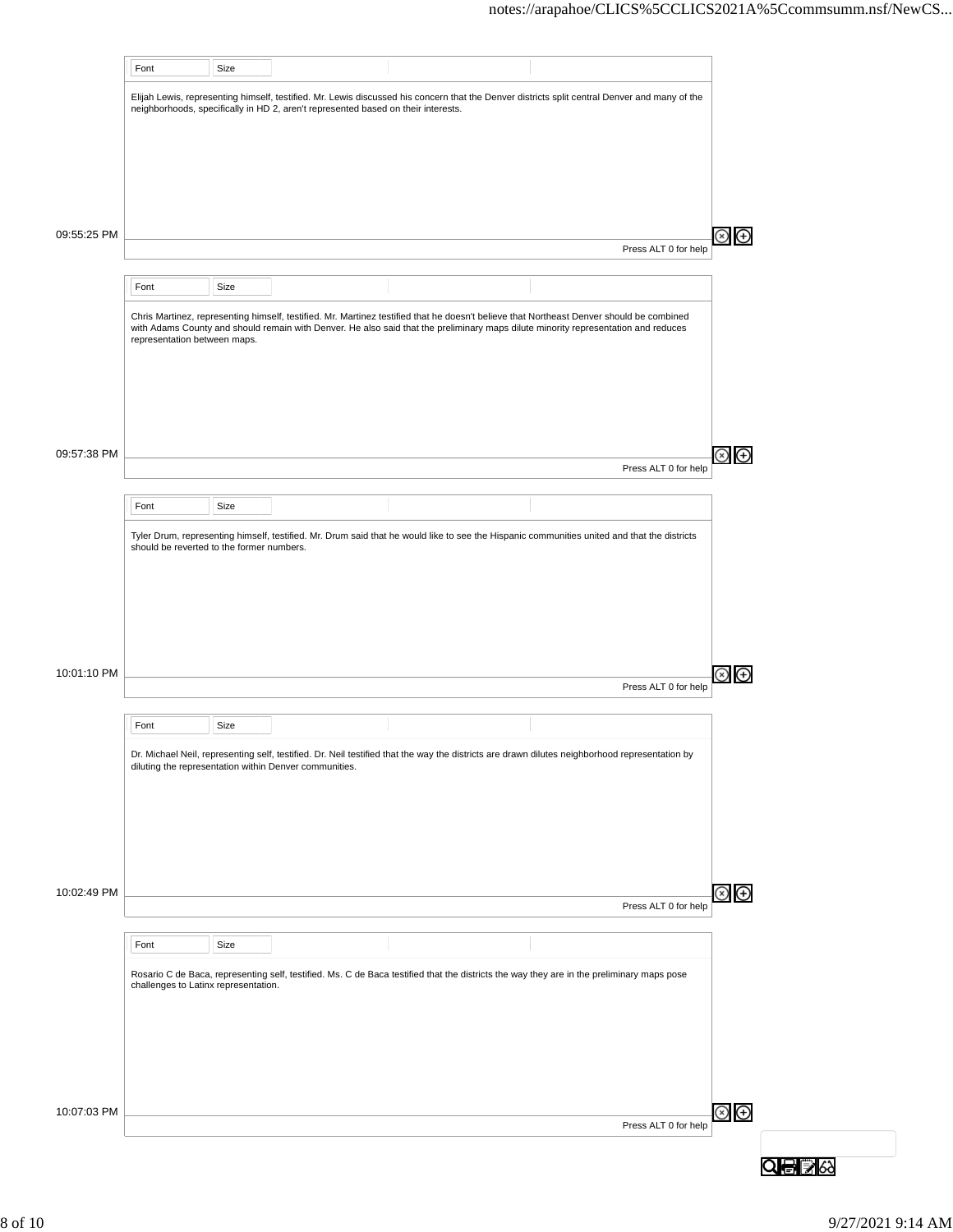|             | Font                         | Size                                      |                                                                                                                                                                                                                                                                                |  |                      |
|-------------|------------------------------|-------------------------------------------|--------------------------------------------------------------------------------------------------------------------------------------------------------------------------------------------------------------------------------------------------------------------------------|--|----------------------|
|             |                              |                                           | Elijah Lewis, representing himself, testified. Mr. Lewis discussed his concern that the Denver districts split central Denver and many of the<br>neighborhoods, specifically in HD 2, aren't represented based on their interests.                                             |  |                      |
|             |                              |                                           |                                                                                                                                                                                                                                                                                |  |                      |
|             |                              |                                           |                                                                                                                                                                                                                                                                                |  |                      |
|             |                              |                                           |                                                                                                                                                                                                                                                                                |  |                      |
|             |                              |                                           |                                                                                                                                                                                                                                                                                |  |                      |
| 09:55:25 PM |                              |                                           |                                                                                                                                                                                                                                                                                |  | Press ALT 0 for help |
|             |                              |                                           |                                                                                                                                                                                                                                                                                |  |                      |
|             | Font                         | Size                                      |                                                                                                                                                                                                                                                                                |  |                      |
|             | representation between maps. |                                           | Chris Martinez, representing himself, testified. Mr. Martinez testified that he doesn't believe that Northeast Denver should be combined<br>with Adams County and should remain with Denver. He also said that the preliminary maps dilute minority representation and reduces |  |                      |
|             |                              |                                           |                                                                                                                                                                                                                                                                                |  |                      |
|             |                              |                                           |                                                                                                                                                                                                                                                                                |  |                      |
|             |                              |                                           |                                                                                                                                                                                                                                                                                |  |                      |
| 09:57:38 PM |                              |                                           |                                                                                                                                                                                                                                                                                |  |                      |
|             |                              |                                           |                                                                                                                                                                                                                                                                                |  | Press ALT 0 for help |
|             | Font                         | Size                                      |                                                                                                                                                                                                                                                                                |  |                      |
|             |                              |                                           | Tyler Drum, representing himself, testified. Mr. Drum said that he would like to see the Hispanic communities united and that the districts                                                                                                                                    |  |                      |
|             |                              | should be reverted to the former numbers. |                                                                                                                                                                                                                                                                                |  |                      |
|             |                              |                                           |                                                                                                                                                                                                                                                                                |  |                      |
|             |                              |                                           |                                                                                                                                                                                                                                                                                |  |                      |
|             |                              |                                           |                                                                                                                                                                                                                                                                                |  |                      |
| 10:01:10 PM |                              |                                           |                                                                                                                                                                                                                                                                                |  |                      |
|             |                              |                                           |                                                                                                                                                                                                                                                                                |  | Press ALT 0 for help |
|             | Font                         | Size                                      |                                                                                                                                                                                                                                                                                |  |                      |
|             |                              |                                           | Dr. Michael Neil, representing self, testified. Dr. Neil testified that the way the districts are drawn dilutes neighborhood representation by                                                                                                                                 |  |                      |
|             |                              |                                           | diluting the representation within Denver communities.                                                                                                                                                                                                                         |  |                      |
|             |                              |                                           |                                                                                                                                                                                                                                                                                |  |                      |
|             |                              |                                           |                                                                                                                                                                                                                                                                                |  |                      |
|             |                              |                                           |                                                                                                                                                                                                                                                                                |  |                      |
| 10:02:49 PM |                              |                                           |                                                                                                                                                                                                                                                                                |  |                      |
|             |                              |                                           |                                                                                                                                                                                                                                                                                |  | Press ALT 0 for help |
|             | Font                         | Size                                      |                                                                                                                                                                                                                                                                                |  |                      |
|             |                              | challenges to Latinx representation.      | Rosario C de Baca, representing self, testified. Ms. C de Baca testified that the districts the way they are in the preliminary maps pose                                                                                                                                      |  |                      |
|             |                              |                                           |                                                                                                                                                                                                                                                                                |  |                      |
|             |                              |                                           |                                                                                                                                                                                                                                                                                |  |                      |
|             |                              |                                           |                                                                                                                                                                                                                                                                                |  |                      |
|             |                              |                                           |                                                                                                                                                                                                                                                                                |  |                      |
| 10:07:03 PM |                              |                                           |                                                                                                                                                                                                                                                                                |  | Press ALT 0 for help |
|             |                              |                                           |                                                                                                                                                                                                                                                                                |  |                      |
|             |                              |                                           |                                                                                                                                                                                                                                                                                |  |                      |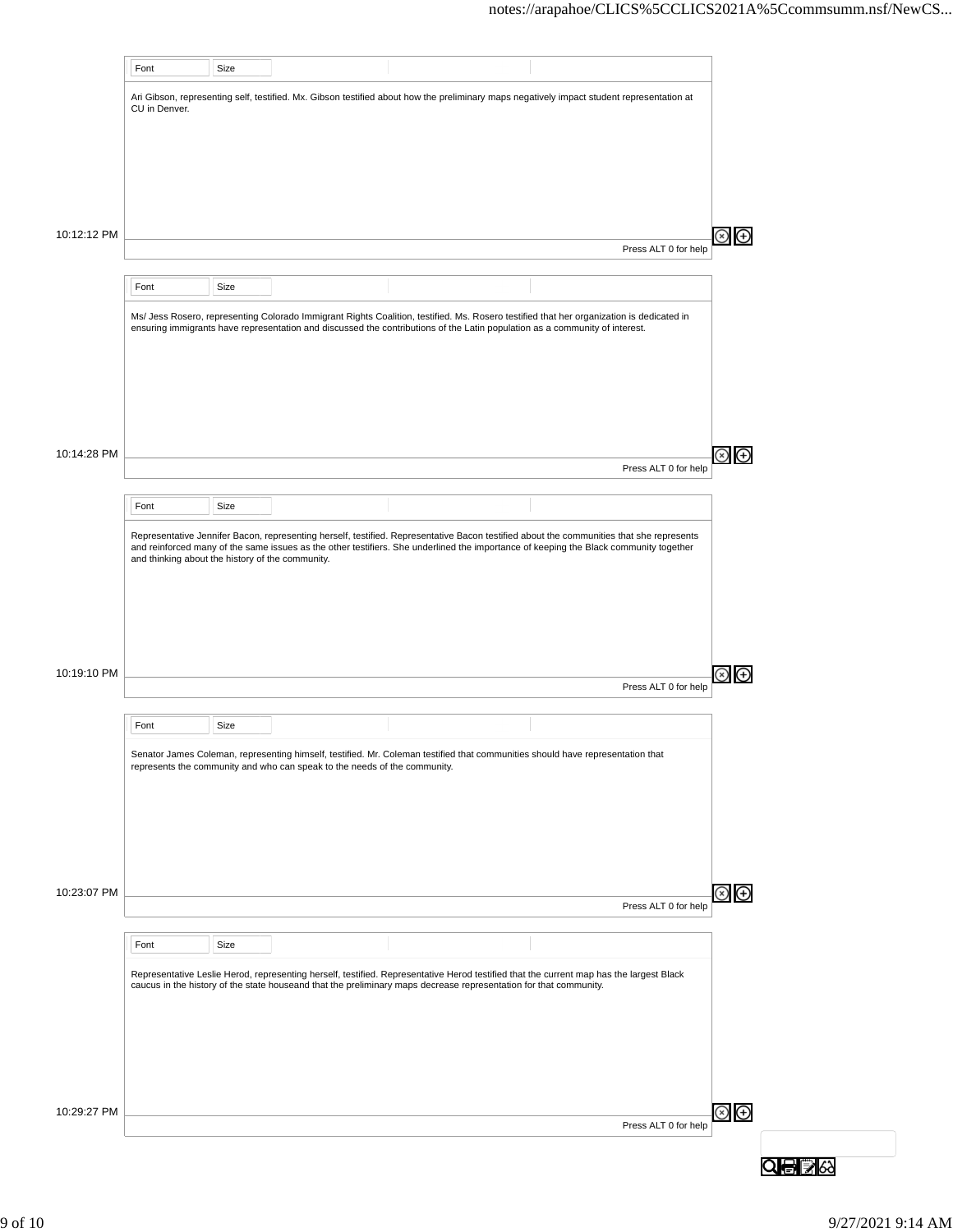|             | Font          | Size                                             |                                                                           |                                                                                                                                                                                                                                                                                   |                      |               |
|-------------|---------------|--------------------------------------------------|---------------------------------------------------------------------------|-----------------------------------------------------------------------------------------------------------------------------------------------------------------------------------------------------------------------------------------------------------------------------------|----------------------|---------------|
|             | CU in Denver. |                                                  |                                                                           | Ari Gibson, representing self, testified. Mx. Gibson testified about how the preliminary maps negatively impact student representation at                                                                                                                                         |                      |               |
|             |               |                                                  |                                                                           |                                                                                                                                                                                                                                                                                   |                      |               |
|             |               |                                                  |                                                                           |                                                                                                                                                                                                                                                                                   |                      |               |
|             |               |                                                  |                                                                           |                                                                                                                                                                                                                                                                                   |                      |               |
| 10:12:12 PM |               |                                                  |                                                                           |                                                                                                                                                                                                                                                                                   | Press ALT 0 for help | Θ             |
|             | Font          | Size                                             |                                                                           |                                                                                                                                                                                                                                                                                   |                      |               |
|             |               |                                                  |                                                                           | Ms/ Jess Rosero, representing Colorado Immigrant Rights Coalition, testified. Ms. Rosero testified that her organization is dedicated in                                                                                                                                          |                      |               |
|             |               |                                                  |                                                                           | ensuring immigrants have representation and discussed the contributions of the Latin population as a community of interest.                                                                                                                                                       |                      |               |
|             |               |                                                  |                                                                           |                                                                                                                                                                                                                                                                                   |                      |               |
|             |               |                                                  |                                                                           |                                                                                                                                                                                                                                                                                   |                      |               |
| 10:14:28 PM |               |                                                  |                                                                           |                                                                                                                                                                                                                                                                                   |                      | Θ             |
|             |               |                                                  |                                                                           |                                                                                                                                                                                                                                                                                   | Press ALT 0 for help |               |
|             | Font          | Size                                             |                                                                           |                                                                                                                                                                                                                                                                                   |                      |               |
|             |               | and thinking about the history of the community. |                                                                           | Representative Jennifer Bacon, representing herself, testified. Representative Bacon testified about the communities that she represents<br>and reinforced many of the same issues as the other testifiers. She underlined the importance of keeping the Black community together |                      |               |
|             |               |                                                  |                                                                           |                                                                                                                                                                                                                                                                                   |                      |               |
|             |               |                                                  |                                                                           |                                                                                                                                                                                                                                                                                   |                      |               |
|             |               |                                                  |                                                                           |                                                                                                                                                                                                                                                                                   |                      |               |
| 10:19:10 PM |               |                                                  |                                                                           |                                                                                                                                                                                                                                                                                   | Press ALT 0 for help | ⊕             |
|             | Font          | Size                                             |                                                                           |                                                                                                                                                                                                                                                                                   |                      |               |
|             |               |                                                  | represents the community and who can speak to the needs of the community. | Senator James Coleman, representing himself, testified. Mr. Coleman testified that communities should have representation that                                                                                                                                                    |                      |               |
|             |               |                                                  |                                                                           |                                                                                                                                                                                                                                                                                   |                      |               |
|             |               |                                                  |                                                                           |                                                                                                                                                                                                                                                                                   |                      |               |
|             |               |                                                  |                                                                           |                                                                                                                                                                                                                                                                                   |                      |               |
| 10:23:07 PM |               |                                                  |                                                                           |                                                                                                                                                                                                                                                                                   | Press ALT 0 for help | ව<br>ල        |
|             |               |                                                  |                                                                           |                                                                                                                                                                                                                                                                                   |                      |               |
|             |               |                                                  |                                                                           |                                                                                                                                                                                                                                                                                   |                      |               |
|             | Font          | Size                                             |                                                                           |                                                                                                                                                                                                                                                                                   |                      |               |
|             |               |                                                  |                                                                           | Representative Leslie Herod, representing herself, testified. Representative Herod testified that the current map has the largest Black<br>caucus in the history of the state houseand that the preliminary maps decrease representation for that community.                      |                      |               |
|             |               |                                                  |                                                                           |                                                                                                                                                                                                                                                                                   |                      |               |
|             |               |                                                  |                                                                           |                                                                                                                                                                                                                                                                                   |                      |               |
|             |               |                                                  |                                                                           |                                                                                                                                                                                                                                                                                   |                      |               |
| 10:29:27 PM |               |                                                  |                                                                           |                                                                                                                                                                                                                                                                                   | Press ALT 0 for help | $\circledast$ |